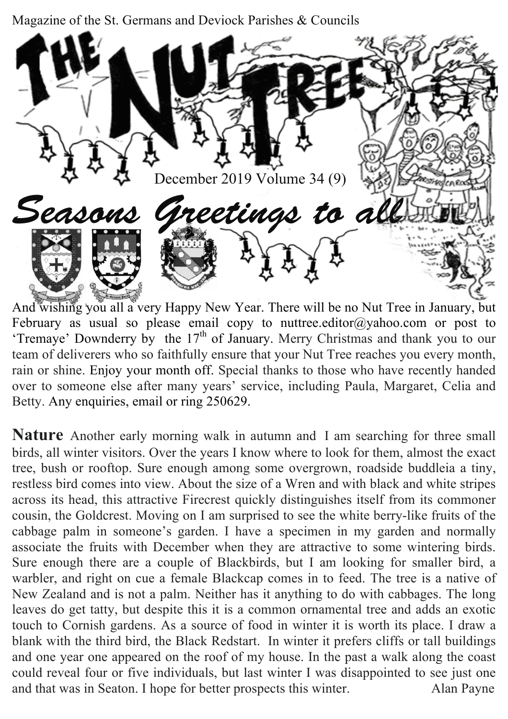Magazine of the St. Germans and Deviock Parishes & Councils



And wishing you all a very Happy New Year. There will be no Nut Tree in January, but February as usual so please email copy to nuttree.editor@yahoo.com or post to 'Tremaye' Downderry by the  $17<sup>th</sup>$  of January. Merry Christmas and thank you to our team of deliverers who so faithfully ensure that your Nut Tree reaches you every month, rain or shine. Enjoy your month off. Special thanks to those who have recently handed over to someone else after many years' service, including Paula, Margaret, Celia and Betty. Any enquiries, email or ring 250629.

**Nature** Another early morning walk in autumn and I am searching for three small birds, all winter visitors. Over the years I know where to look for them, almost the exact tree, bush or rooftop. Sure enough among some overgrown, roadside buddleia a tiny, restless bird comes into view. About the size of a Wren and with black and white stripes across its head, this attractive Firecrest quickly distinguishes itself from its commoner cousin, the Goldcrest. Moving on I am surprised to see the white berry-like fruits of the cabbage palm in someone's garden. I have a specimen in my garden and normally associate the fruits with December when they are attractive to some wintering birds. Sure enough there are a couple of Blackbirds, but I am looking for smaller bird, a warbler, and right on cue a female Blackcap comes in to feed. The tree is a native of New Zealand and is not a palm. Neither has it anything to do with cabbages. The long leaves do get tatty, but despite this it is a common ornamental tree and adds an exotic touch to Cornish gardens. As a source of food in winter it is worth its place. I draw a blank with the third bird, the Black Redstart. In winter it prefers cliffs or tall buildings and one year one appeared on the roof of my house. In the past a walk along the coast could reveal four or five individuals, but last winter I was disappointed to see just one and that was in Seaton. I hope for better prospects this winter.Alan Payne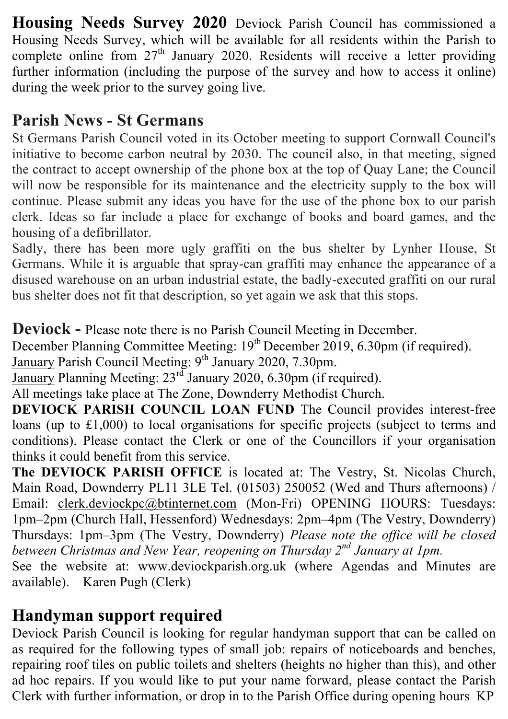**Housing Needs Survey 2020** Deviock Parish Council has commissioned a Housing Needs Survey, which will be available for all residents within the Parish to complete online from  $27<sup>th</sup>$  January 2020. Residents will receive a letter providing further information (including the purpose of the survey and how to access it online) during the week prior to the survey going live.

# **Parish News - St Germans**

St Germans Parish Council voted in its October meeting to support Cornwall Council's initiative to become carbon neutral by 2030. The council also, in that meeting, signed the contract to accept ownership of the phone box at the top of Quay Lane; the Council will now be responsible for its maintenance and the electricity supply to the box will continue. Please submit any ideas you have for the use of the phone box to our parish clerk. Ideas so far include a place for exchange of books and board games, and the housing of a defibrillator.

Sadly, there has been more ugly graffiti on the bus shelter by Lynher House, St Germans. While it is arguable that spray-can graffiti may enhance the appearance of a disused warehouse on an urban industrial estate, the badly-executed graffiti on our rural bus shelter does not fit that description, so yet again we ask that this stops.

**Deviock -** Please note there is no Parish Council Meeting in December.

December Planning Committee Meeting: 19<sup>th</sup> December 2019, 6.30pm (if required).

January Parish Council Meeting: 9<sup>th</sup> January 2020, 7.30pm.

January Planning Meeting: 23<sup>rd</sup> January 2020, 6.30pm (if required).

All meetings take place at The Zone, Downderry Methodist Church.

**DEVIOCK PARISH COUNCIL LOAN FUND** The Council provides interest-free loans (up to £1,000) to local organisations for specific projects (subject to terms and conditions). Please contact the Clerk or one of the Councillors if your organisation thinks it could benefit from this service.

**The DEVIOCK PARISH OFFICE** is located at: The Vestry, St. Nicolas Church, Main Road, Downderry PL11 3LE Tel. (01503) 250052 (Wed and Thurs afternoons) / Email: clerk.deviockpc@btinternet.com (Mon-Fri) OPENING HOURS: Tuesdays: 1pm–2pm (Church Hall, Hessenford) Wednesdays: 2pm–4pm (The Vestry, Downderry) Thursdays: 1pm–3pm (The Vestry, Downderry) *Please note the office will be closed between Christmas and New Year, reopening on Thursday 2nd January at 1pm.*

See the website at: www.deviockparish.org.uk (where Agendas and Minutes are available). Karen Pugh (Clerk)

# **Handyman support required**

Deviock Parish Council is looking for regular handyman support that can be called on as required for the following types of small job: repairs of noticeboards and benches, repairing roof tiles on public toilets and shelters (heights no higher than this), and other ad hoc repairs. If you would like to put your name forward, please contact the Parish Clerk with further information, or drop in to the Parish Office during opening hours KP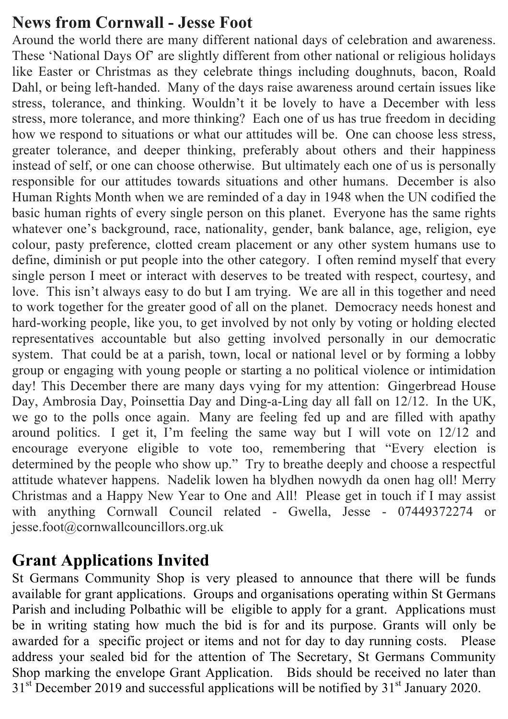#### **News from Cornwall - Jesse Foot**

Around the world there are many different national days of celebration and awareness. These 'National Days Of' are slightly different from other national or religious holidays like Easter or Christmas as they celebrate things including doughnuts, bacon, Roald Dahl, or being left-handed. Many of the days raise awareness around certain issues like stress, tolerance, and thinking. Wouldn't it be lovely to have a December with less stress, more tolerance, and more thinking? Each one of us has true freedom in deciding how we respond to situations or what our attitudes will be. One can choose less stress, greater tolerance, and deeper thinking, preferably about others and their happiness instead of self, or one can choose otherwise. But ultimately each one of us is personally responsible for our attitudes towards situations and other humans. December is also Human Rights Month when we are reminded of a day in 1948 when the UN codified the basic human rights of every single person on this planet. Everyone has the same rights whatever one's background, race, nationality, gender, bank balance, age, religion, eye colour, pasty preference, clotted cream placement or any other system humans use to define, diminish or put people into the other category. I often remind myself that every single person I meet or interact with deserves to be treated with respect, courtesy, and love. This isn't always easy to do but I am trying. We are all in this together and need to work together for the greater good of all on the planet. Democracy needs honest and hard-working people, like you, to get involved by not only by voting or holding elected representatives accountable but also getting involved personally in our democratic system. That could be at a parish, town, local or national level or by forming a lobby group or engaging with young people or starting a no political violence or intimidation day! This December there are many days vying for my attention: Gingerbread House Day, Ambrosia Day, Poinsettia Day and Ding-a-Ling day all fall on 12/12. In the UK, we go to the polls once again. Many are feeling fed up and are filled with apathy around politics. I get it, I'm feeling the same way but I will vote on 12/12 and encourage everyone eligible to vote too, remembering that "Every election is determined by the people who show up." Try to breathe deeply and choose a respectful attitude whatever happens. Nadelik lowen ha blydhen nowydh da onen hag oll! Merry Christmas and a Happy New Year to One and All! Please get in touch if I may assist with anything Cornwall Council related - Gwella, Jesse - 07449372274 or jesse.foot@cornwallcouncillors.org.uk

## **Grant Applications Invited**

St Germans Community Shop is very pleased to announce that there will be funds available for grant applications. Groups and organisations operating within St Germans Parish and including Polbathic will be eligible to apply for a grant. Applications must be in writing stating how much the bid is for and its purpose. Grants will only be awarded for a specific project or items and not for day to day running costs. Please address your sealed bid for the attention of The Secretary, St Germans Community Shop marking the envelope Grant Application. Bids should be received no later than  $31<sup>st</sup>$  December 2019 and successful applications will be notified by  $31<sup>st</sup>$  January 2020.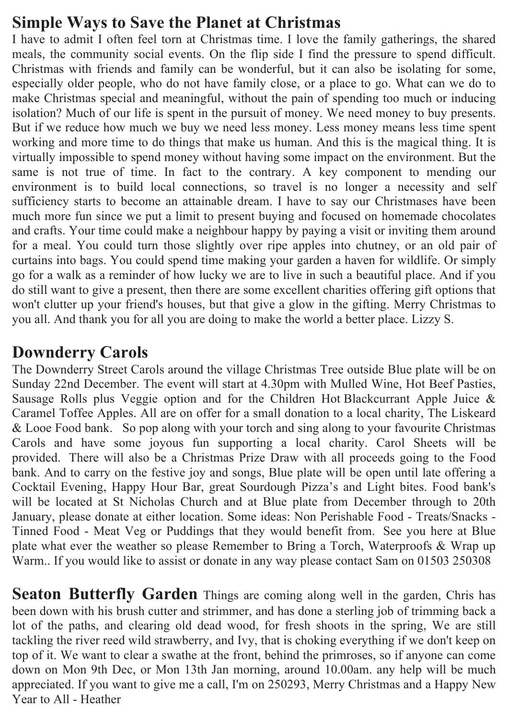## **Simple Ways to Save the Planet at Christmas**

I have to admit I often feel torn at Christmas time. I love the family gatherings, the shared meals, the community social events. On the flip side I find the pressure to spend difficult. Christmas with friends and family can be wonderful, but it can also be isolating for some, especially older people, who do not have family close, or a place to go. What can we do to make Christmas special and meaningful, without the pain of spending too much or inducing isolation? Much of our life is spent in the pursuit of money. We need money to buy presents. But if we reduce how much we buy we need less money. Less money means less time spent working and more time to do things that make us human. And this is the magical thing. It is virtually impossible to spend money without having some impact on the environment. But the same is not true of time. In fact to the contrary. A key component to mending our environment is to build local connections, so travel is no longer a necessity and self sufficiency starts to become an attainable dream. I have to say our Christmases have been much more fun since we put a limit to present buying and focused on homemade chocolates and crafts. Your time could make a neighbour happy by paying a visit or inviting them around for a meal. You could turn those slightly over ripe apples into chutney, or an old pair of curtains into bags. You could spend time making your garden a haven for wildlife. Or simply go for a walk as a reminder of how lucky we are to live in such a beautiful place. And if you do still want to give a present, then there are some excellent charities offering gift options that won't clutter up your friend's houses, but that give a glow in the gifting. Merry Christmas to you all. And thank you for all you are doing to make the world a better place. Lizzy S.

## **Downderry Carols**

The Downderry Street Carols around the village Christmas Tree outside Blue plate will be on Sunday 22nd December. The event will start at 4.30pm with Mulled Wine, Hot Beef Pasties, Sausage Rolls plus Veggie option and for the Children Hot Blackcurrant Apple Juice & Caramel Toffee Apples. All are on offer for a small donation to a local charity, The Liskeard & Looe Food bank. So pop along with your torch and sing along to your favourite Christmas Carols and have some joyous fun supporting a local charity. Carol Sheets will be provided. There will also be a Christmas Prize Draw with all proceeds going to the Food bank. And to carry on the festive joy and songs, Blue plate will be open until late offering a Cocktail Evening, Happy Hour Bar, great Sourdough Pizza's and Light bites. Food bank's will be located at St Nicholas Church and at Blue plate from December through to 20th January, please donate at either location. Some ideas: Non Perishable Food - Treats/Snacks - Tinned Food - Meat Veg or Puddings that they would benefit from. See you here at Blue plate what ever the weather so please Remember to Bring a Torch, Waterproofs & Wrap up Warm.. If you would like to assist or donate in any way please contact Sam on 01503 250308

**Seaton Butterfly Garden** Things are coming along well in the garden, Chris has been down with his brush cutter and strimmer, and has done a sterling job of trimming back a lot of the paths, and clearing old dead wood, for fresh shoots in the spring, We are still tackling the river reed wild strawberry, and Ivy, that is choking everything if we don't keep on top of it. We want to clear a swathe at the front, behind the primroses, so if anyone can come down on Mon 9th Dec, or Mon 13th Jan morning, around 10.00am. any help will be much appreciated. If you want to give me a call, I'm on 250293, Merry Christmas and a Happy New Year to All - Heather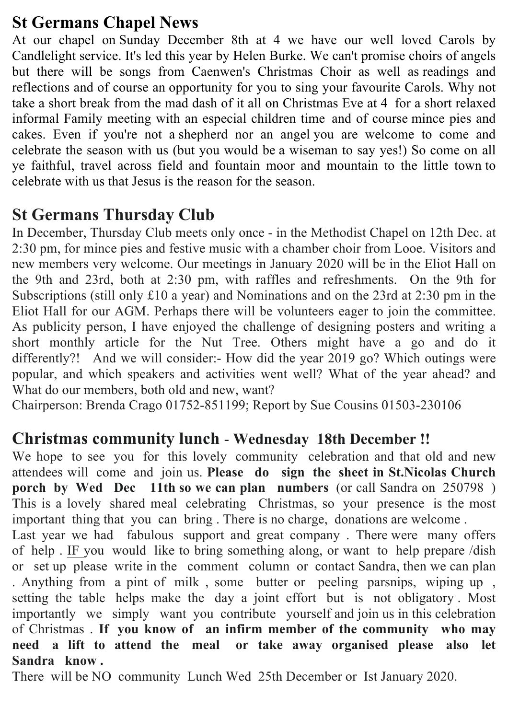## **St Germans Chapel News**

At our chapel on Sunday December 8th at 4 we have our well loved Carols by Candlelight service. It's led this year by Helen Burke. We can't promise choirs of angels but there will be songs from Caenwen's Christmas Choir as well as readings and reflections and of course an opportunity for you to sing your favourite Carols. Why not take a short break from the mad dash of it all on Christmas Eve at 4 for a short relaxed informal Family meeting with an especial children time and of course mince pies and cakes. Even if you're not a shepherd nor an angel you are welcome to come and celebrate the season with us (but you would be a wiseman to say yes!) So come on all ye faithful, travel across field and fountain moor and mountain to the little town to celebrate with us that Jesus is the reason for the season.

## **St Germans Thursday Club**

In December, Thursday Club meets only once - in the Methodist Chapel on 12th Dec. at 2:30 pm, for mince pies and festive music with a chamber choir from Looe. Visitors and new members very welcome. Our meetings in January 2020 will be in the Eliot Hall on the 9th and 23rd, both at 2:30 pm, with raffles and refreshments. On the 9th for Subscriptions (still only £10 a year) and Nominations and on the 23rd at 2:30 pm in the Eliot Hall for our AGM. Perhaps there will be volunteers eager to join the committee. As publicity person, I have enjoyed the challenge of designing posters and writing a short monthly article for the Nut Tree. Others might have a go and do it differently?! And we will consider:- How did the year 2019 go? Which outings were popular, and which speakers and activities went well? What of the year ahead? and What do our members, both old and new, want?

Chairperson: Brenda Crago 01752-851199; Report by Sue Cousins 01503-230106

#### **Christmas community lunch** - **Wednesday 18th December !!**

We hope to see you for this lovely community celebration and that old and new attendees will come and join us. **Please do sign the sheet in St.Nicolas Church porch by Wed Dec 11th so we can plan numbers** (or call Sandra on 250798 ) This is a lovely shared meal celebrating Christmas, so your presence is the most important thing that you can bring . There is no charge, donations are welcome .

Last year we had fabulous support and great company . There were many offers of help . IF you would like to bring something along, or want to help prepare /dish or set up please write in the comment column or contact Sandra, then we can plan . Anything from a pint of milk , some butter or peeling parsnips, wiping up , setting the table helps make the day a joint effort but is not obligatory . Most importantly we simply want you contribute yourself and join us in this celebration of Christmas . **If you know of an infirm member of the community who may need a lift to attend the meal or take away organised please also let Sandra know .**

There will be NO community Lunch Wed 25th December or Ist January 2020.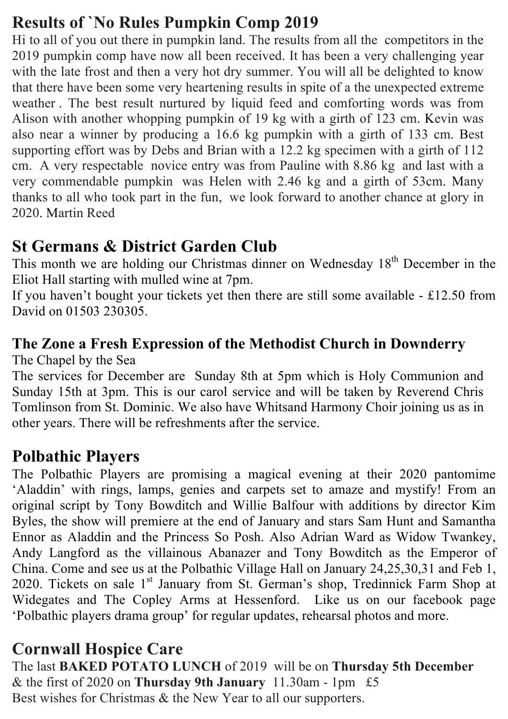# **Results of `No Rules Pumpkin Comp 2019**

Hi to all of you out there in pumpkin land. The results from all the competitors in the 2019 pumpkin comp have now all been received. It has been a very challenging year with the late frost and then a very hot dry summer. You will all be delighted to know that there have been some very heartening results in spite of a the unexpected extreme weather . The best result nurtured by liquid feed and comforting words was from Alison with another whopping pumpkin of 19 kg with a girth of 123 cm. Kevin was also near a winner by producing a 16.6 kg pumpkin with a girth of 133 cm. Best supporting effort was by Debs and Brian with a 12.2 kg specimen with a girth of 112 cm. A very respectable novice entry was from Pauline with 8.86 kg and last with a very commendable pumpkin was Helen with 2.46 kg and a girth of 53cm. Many thanks to all who took part in the fun, we look forward to another chance at glory in 2020. Martin Reed

# **St Germans & District Garden Club**

This month we are holding our Christmas dinner on Wednesday  $18<sup>th</sup>$  December in the Eliot Hall starting with mulled wine at 7pm.

If you haven't bought your tickets yet then there are still some available - £12.50 from David on 01503 230305.

# **The Zone a Fresh Expression of the Methodist Church in Downderry**

The Chapel by the Sea

The services for December are Sunday 8th at 5pm which is Holy Communion and Sunday 15th at 3pm. This is our carol service and will be taken by Reverend Chris Tomlinson from St. Dominic. We also have Whitsand Harmony Choir joining us as in other years. There will be refreshments after the service.

## **Polbathic Players**

The Polbathic Players are promising a magical evening at their 2020 pantomime 'Aladdin' with rings, lamps, genies and carpets set to amaze and mystify! From an original script by Tony Bowditch and Willie Balfour with additions by director Kim Byles, the show will premiere at the end of January and stars Sam Hunt and Samantha Ennor as Aladdin and the Princess So Posh. Also Adrian Ward as Widow Twankey, Andy Langford as the villainous Abanazer and Tony Bowditch as the Emperor of China. Come and see us at the Polbathic Village Hall on January 24,25,30,31 and Feb 1, 2020. Tickets on sale 1<sup>st</sup> January from St. German's shop, Tredinnick Farm Shop at Widegates and The Copley Arms at Hessenford. Like us on our facebook page 'Polbathic players drama group' for regular updates, rehearsal photos and more.

# **Cornwall Hospice Care**

The last **BAKED POTATO LUNCH** of 2019 will be on **Thursday 5th December** & the first of 2020 on **Thursday 9th January** 11.30am - 1pm £5 Best wishes for Christmas & the New Year to all our supporters.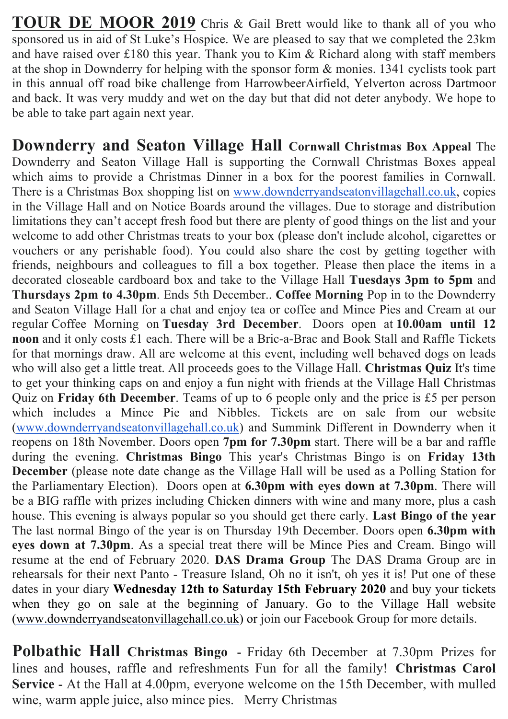**TOUR DE MOOR 2019** Chris & Gail Brett would like to thank all of you who sponsored us in aid of St Luke's Hospice. We are pleased to say that we completed the 23km and have raised over £180 this year. Thank you to Kim & Richard along with staff members at the shop in Downderry for helping with the sponsor form & monies. 1341 cyclists took part in this annual off road bike challenge from HarrowbeerAirfield, Yelverton across Dartmoor and back. It was very muddy and wet on the day but that did not deter anybody. We hope to be able to take part again next year.

**Downderry and Seaton Village Hall Cornwall Christmas Box Appeal** The Downderry and Seaton Village Hall is supporting the Cornwall Christmas Boxes appeal which aims to provide a Christmas Dinner in a box for the poorest families in Cornwall. There is a Christmas Box shopping list on www.downderryandseatonvillagehall.co.uk, copies in the Village Hall and on Notice Boards around the villages. Due to storage and distribution limitations they can't accept fresh food but there are plenty of good things on the list and your welcome to add other Christmas treats to your box (please don't include alcohol, cigarettes or vouchers or any perishable food). You could also share the cost by getting together with friends, neighbours and colleagues to fill a box together. Please then place the items in a decorated closeable cardboard box and take to the Village Hall **Tuesdays 3pm to 5pm** and **Thursdays 2pm to 4.30pm**. Ends 5th December.. **Coffee Morning** Pop in to the Downderry and Seaton Village Hall for a chat and enjoy tea or coffee and Mince Pies and Cream at our regular Coffee Morning on **Tuesday 3rd December**. Doors open at **10.00am until 12 noon** and it only costs £1 each. There will be a Bric-a-Brac and Book Stall and Raffle Tickets for that mornings draw. All are welcome at this event, including well behaved dogs on leads who will also get a little treat. All proceeds goes to the Village Hall. **Christmas Quiz** It's time to get your thinking caps on and enjoy a fun night with friends at the Village Hall Christmas Quiz on **Friday 6th December**. Teams of up to 6 people only and the price is £5 per person which includes a Mince Pie and Nibbles. Tickets are on sale from our website (www.downderryandseatonvillagehall.co.uk) and Summink Different in Downderry when it reopens on 18th November. Doors open **7pm for 7.30pm** start. There will be a bar and raffle during the evening. **Christmas Bingo** This year's Christmas Bingo is on **Friday 13th December** (please note date change as the Village Hall will be used as a Polling Station for the Parliamentary Election). Doors open at **6.30pm with eyes down at 7.30pm**. There will be a BIG raffle with prizes including Chicken dinners with wine and many more, plus a cash house. This evening is always popular so you should get there early. **Last Bingo of the year** The last normal Bingo of the year is on Thursday 19th December. Doors open **6.30pm with eyes down at 7.30pm**. As a special treat there will be Mince Pies and Cream. Bingo will resume at the end of February 2020. **DAS Drama Group** The DAS Drama Group are in rehearsals for their next Panto - Treasure Island, Oh no it isn't, oh yes it is! Put one of these dates in your diary **Wednesday 12th to Saturday 15th February 2020** and buy your tickets when they go on sale at the beginning of January. Go to the Village Hall website (www.downderryandseatonvillagehall.co.uk) or join our Facebook Group for more details.

**Polbathic Hall Christmas Bingo** - Friday 6th December at 7.30pm Prizes for lines and houses, raffle and refreshments Fun for all the family! **Christmas Carol Service** - At the Hall at 4.00pm, everyone welcome on the 15th December, with mulled wine, warm apple juice, also mince pies. Merry Christmas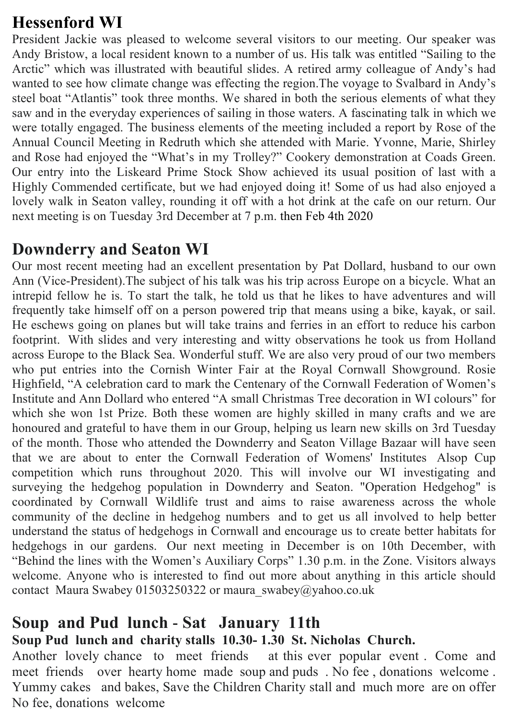# **Hessenford WI**

President Jackie was pleased to welcome several visitors to our meeting. Our speaker was Andy Bristow, a local resident known to a number of us. His talk was entitled "Sailing to the Arctic" which was illustrated with beautiful slides. A retired army colleague of Andy's had wanted to see how climate change was effecting the region.The voyage to Svalbard in Andy's steel boat "Atlantis" took three months. We shared in both the serious elements of what they saw and in the everyday experiences of sailing in those waters. A fascinating talk in which we were totally engaged. The business elements of the meeting included a report by Rose of the Annual Council Meeting in Redruth which she attended with Marie. Yvonne, Marie, Shirley and Rose had enjoyed the "What's in my Trolley?" Cookery demonstration at Coads Green. Our entry into the Liskeard Prime Stock Show achieved its usual position of last with a Highly Commended certificate, but we had enjoyed doing it! Some of us had also enjoyed a lovely walk in Seaton valley, rounding it off with a hot drink at the cafe on our return. Our next meeting is on Tuesday 3rd December at 7 p.m. then Feb 4th 2020

#### **Downderry and Seaton WI**

Our most recent meeting had an excellent presentation by Pat Dollard, husband to our own Ann (Vice-President).The subject of his talk was his trip across Europe on a bicycle. What an intrepid fellow he is. To start the talk, he told us that he likes to have adventures and will frequently take himself off on a person powered trip that means using a bike, kayak, or sail. He eschews going on planes but will take trains and ferries in an effort to reduce his carbon footprint. With slides and very interesting and witty observations he took us from Holland across Europe to the Black Sea. Wonderful stuff. We are also very proud of our two members who put entries into the Cornish Winter Fair at the Royal Cornwall Showground. Rosie Highfield, "A celebration card to mark the Centenary of the Cornwall Federation of Women's Institute and Ann Dollard who entered "A small Christmas Tree decoration in WI colours" for which she won 1st Prize. Both these women are highly skilled in many crafts and we are honoured and grateful to have them in our Group, helping us learn new skills on 3rd Tuesday of the month. Those who attended the Downderry and Seaton Village Bazaar will have seen that we are about to enter the Cornwall Federation of Womens' Institutes Alsop Cup competition which runs throughout 2020. This will involve our WI investigating and surveying the hedgehog population in Downderry and Seaton. "Operation Hedgehog" is coordinated by Cornwall Wildlife trust and aims to raise awareness across the whole community of the decline in hedgehog numbers and to get us all involved to help better understand the status of hedgehogs in Cornwall and encourage us to create better habitats for hedgehogs in our gardens. Our next meeting in December is on 10th December, with "Behind the lines with the Women's Auxiliary Corps" 1.30 p.m. in the Zone. Visitors always welcome. Anyone who is interested to find out more about anything in this article should contact Maura Swabey 01503250322 or maura\_swabey@yahoo.co.uk

#### **Soup and Pud lunch** - **Sat January 11th Soup Pud lunch and charity stalls 10.30- 1.30 St. Nicholas Church.**

Another lovely chance to meet friends at this ever popular event . Come and meet friends over hearty home made soup and puds . No fee , donations welcome . Yummy cakes and bakes, Save the Children Charity stall and much more are on offer No fee, donations welcome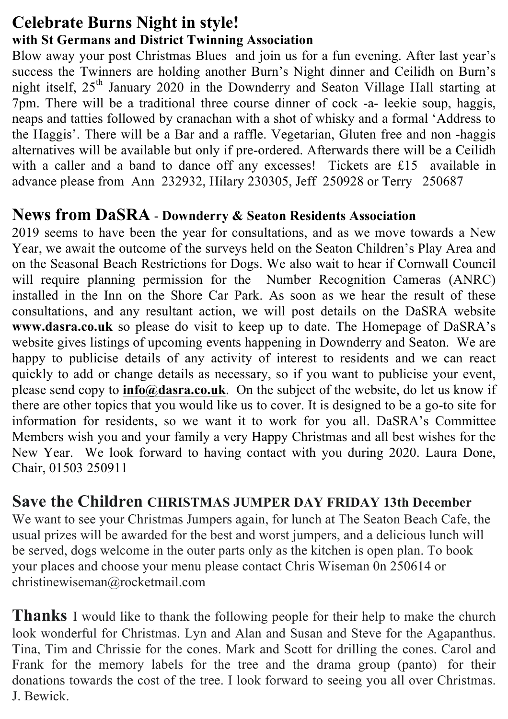#### **Celebrate Burns Night in style! with St Germans and District Twinning Association**

Blow away your post Christmas Blues and join us for a fun evening. After last year's success the Twinners are holding another Burn's Night dinner and Ceilidh on Burn's night itself, 25<sup>th</sup> January 2020 in the Downderry and Seaton Village Hall starting at 7pm. There will be a traditional three course dinner of cock -a- leekie soup, haggis, neaps and tatties followed by cranachan with a shot of whisky and a formal 'Address to the Haggis'. There will be a Bar and a raffle. Vegetarian, Gluten free and non -haggis alternatives will be available but only if pre-ordered. Afterwards there will be a Ceilidh with a caller and a band to dance off any excesses! Tickets are £15 available in advance please from Ann 232932, Hilary 230305, Jeff 250928 or Terry 250687

#### **News from DaSRA** - **Downderry & Seaton Residents Association**

2019 seems to have been the year for consultations, and as we move towards a New Year, we await the outcome of the surveys held on the Seaton Children's Play Area and on the Seasonal Beach Restrictions for Dogs. We also wait to hear if Cornwall Council will require planning permission for the Number Recognition Cameras (ANRC) installed in the Inn on the Shore Car Park. As soon as we hear the result of these consultations, and any resultant action, we will post details on the DaSRA website **www.dasra.co.uk** so please do visit to keep up to date. The Homepage of DaSRA's website gives listings of upcoming events happening in Downderry and Seaton. We are happy to publicise details of any activity of interest to residents and we can react quickly to add or change details as necessary, so if you want to publicise your event, please send copy to **info@dasra.co.uk**. On the subject of the website, do let us know if there are other topics that you would like us to cover. It is designed to be a go-to site for information for residents, so we want it to work for you all. DaSRA's Committee Members wish you and your family a very Happy Christmas and all best wishes for the New Year. We look forward to having contact with you during 2020. Laura Done, Chair, 01503 250911

#### **Save the Children CHRISTMAS JUMPER DAY FRIDAY 13th December**

We want to see your Christmas Jumpers again, for lunch at The Seaton Beach Cafe, the usual prizes will be awarded for the best and worst jumpers, and a delicious lunch will be served, dogs welcome in the outer parts only as the kitchen is open plan. To book your places and choose your menu please contact Chris Wiseman 0n 250614 or christinewiseman@rocketmail.com

**Thanks** I would like to thank the following people for their help to make the church look wonderful for Christmas. Lyn and Alan and Susan and Steve for the Agapanthus. Tina, Tim and Chrissie for the cones. Mark and Scott for drilling the cones. Carol and Frank for the memory labels for the tree and the drama group (panto) for their donations towards the cost of the tree. I look forward to seeing you all over Christmas. J. Bewick.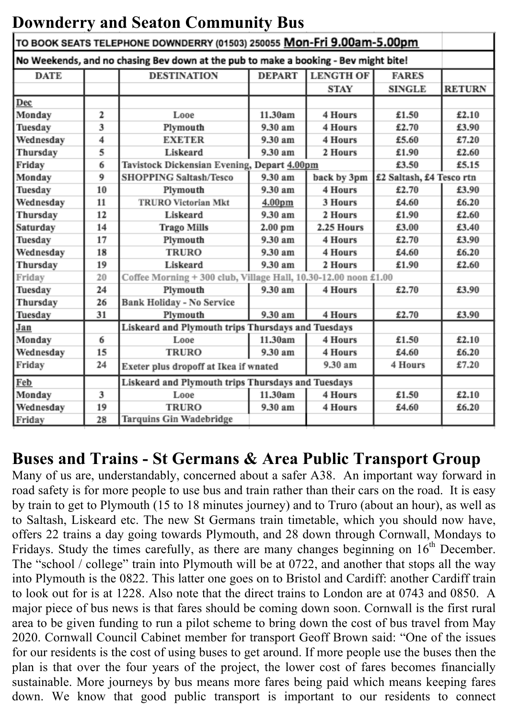| Downaelly and Seaton Community Dus                                                  |    |                                                                 |                    |                  |                          |               |  |
|-------------------------------------------------------------------------------------|----|-----------------------------------------------------------------|--------------------|------------------|--------------------------|---------------|--|
| TO BOOK SEATS TELEPHONE DOWNDERRY (01503) 250055 Mon-Fri 9.00am-5.00pm              |    |                                                                 |                    |                  |                          |               |  |
| No Weekends, and no chasing Bev down at the pub to make a booking - Bev might bite! |    |                                                                 |                    |                  |                          |               |  |
| <b>DATE</b>                                                                         |    | <b>DESTINATION</b>                                              | <b>DEPART</b>      | <b>LENGTH OF</b> | <b>FARES</b>             |               |  |
|                                                                                     |    |                                                                 |                    | <b>STAY</b>      | <b>SINGLE</b>            | <b>RETURN</b> |  |
| Dec                                                                                 |    |                                                                 |                    |                  |                          |               |  |
| Monday                                                                              | 2  | Looe                                                            | 11.30am            | 4 Hours          | £1.50                    | £2.10         |  |
| Tuesday                                                                             | 3  | Plymouth                                                        | 9.30 am            | 4 Hours          | £2.70                    | £3.90         |  |
| Wednesday                                                                           | 4  | <b>EXETER</b>                                                   | 9.30 am            | 4 Hours          | £5.60                    | £7.20         |  |
| Thursday                                                                            | 5  | Liskeard                                                        | 9.30 am            | 2 Hours          | £1.90                    | £2.60         |  |
| Friday                                                                              | 6  | Tavistock Dickensian Evening, Depart 4.00pm<br>£3.50            |                    |                  | £5.15                    |               |  |
| Monday                                                                              | 9  | <b>SHOPPING Saltash/Tesco</b>                                   | 9.30 am            | back by 3pm      | £2 Saltash, £4 Tesco rtn |               |  |
| Tuesday                                                                             | 10 | Plymouth                                                        | 9.30 am            | 4 Hours          | £2.70                    | £3.90         |  |
| Wednesday                                                                           | 11 | <b>TRURO Victorian Mkt</b>                                      | 4.00 <sub>pm</sub> | 3 Hours          | £4.60                    | £6.20         |  |
| Thursday                                                                            | 12 | Liskeard                                                        | 9.30 am            | 2 Hours          | £1.90                    | £2.60         |  |
| Saturday                                                                            | 14 | <b>Trago Mills</b>                                              | 2.00 pm            | 2.25 Hours       | £3.00                    | £3.40         |  |
| Tuesday                                                                             | 17 | Plymouth                                                        | 9.30 am            | 4 Hours          | £2.70                    | £3.90         |  |
| Wednesday                                                                           | 18 | <b>TRURO</b>                                                    | 9.30 am            | 4 Hours          | £4.60                    | £6.20         |  |
| Thursday                                                                            | 19 | Liskeard                                                        | 9.30 am            | 2 Hours          | £1.90                    | £2.60         |  |
| Friday                                                                              | 20 | Coffee Morning + 300 club, Village Hall, 10.30-12.00 noon £1.00 |                    |                  |                          |               |  |
| Tuesday                                                                             | 24 | Plymouth                                                        | 9.30 am            | 4 Hours          | £2.70                    | £3.90         |  |
| Thursday                                                                            | 26 | Bank Holiday - No Service                                       |                    |                  |                          |               |  |
| Tuesday                                                                             | 31 | Plymouth                                                        | 9.30 am            | 4 Hours          | £2.70                    | £3.90         |  |
| Jan                                                                                 |    | Liskeard and Plymouth trips Thursdays and Tuesdays              |                    |                  |                          |               |  |
| Monday                                                                              | 6  | Looe                                                            | 11.30am            | 4 Hours          | £1.50                    | £2.10         |  |
| Wednesday                                                                           | 15 | <b>TRURO</b>                                                    | 9.30 am            | 4 Hours          | £4.60                    | £6.20         |  |
| Friday                                                                              | 24 | 9.30 am<br>Exeter plus dropoff at Ikea if wnated                |                    | 4 Hours          | £7.20                    |               |  |
| Feb                                                                                 |    | Liskeard and Plymouth trips Thursdays and Tuesdays              |                    |                  |                          |               |  |
| Monday                                                                              | 3  | Looe                                                            | 11.30am            | 4 Hours          | £1.50                    | £2.10         |  |
| Wednesday                                                                           | 19 | <b>TRURO</b>                                                    | 9.30 am            | 4 Hours          | £4.60                    | £6.20         |  |
| Friday                                                                              | 28 | Tarquins Gin Wadebridge                                         |                    |                  |                          |               |  |

# and Cootan

# **Buses and Trains - St Germans & Area Public Transport Group**

Many of us are, understandably, concerned about a safer A38. An important way forward in road safety is for more people to use bus and train rather than their cars on the road. It is easy by train to get to Plymouth (15 to 18 minutes journey) and to Truro (about an hour), as well as to Saltash, Liskeard etc. The new St Germans train timetable, which you should now have, offers 22 trains a day going towards Plymouth, and 28 down through Cornwall, Mondays to Fridays. Study the times carefully, as there are many changes beginning on  $16<sup>th</sup>$  December. The "school / college" train into Plymouth will be at 0722, and another that stops all the way into Plymouth is the 0822. This latter one goes on to Bristol and Cardiff: another Cardiff train to look out for is at 1228. Also note that the direct trains to London are at 0743 and 0850. A major piece of bus news is that fares should be coming down soon. Cornwall is the first rural area to be given funding to run a pilot scheme to bring down the cost of bus travel from May 2020. Cornwall Council Cabinet member for transport Geoff Brown said: "One of the issues for our residents is the cost of using buses to get around. If more people use the buses then the plan is that over the four years of the project, the lower cost of fares becomes financially sustainable. More journeys by bus means more fares being paid which means keeping fares down. We know that good public transport is important to our residents to connect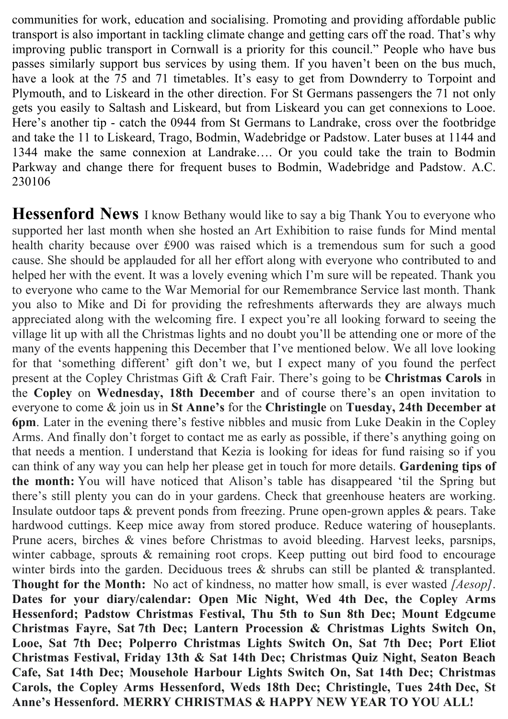communities for work, education and socialising. Promoting and providing affordable public transport is also important in tackling climate change and getting cars off the road. That's why improving public transport in Cornwall is a priority for this council." People who have bus passes similarly support bus services by using them. If you haven't been on the bus much, have a look at the 75 and 71 timetables. It's easy to get from Downderry to Torpoint and Plymouth, and to Liskeard in the other direction. For St Germans passengers the 71 not only gets you easily to Saltash and Liskeard, but from Liskeard you can get connexions to Looe. Here's another tip - catch the 0944 from St Germans to Landrake, cross over the footbridge and take the 11 to Liskeard, Trago, Bodmin, Wadebridge or Padstow. Later buses at 1144 and 1344 make the same connexion at Landrake…. Or you could take the train to Bodmin Parkway and change there for frequent buses to Bodmin, Wadebridge and Padstow. A.C. 230106

**Hessenford News** I know Bethany would like to say a big Thank You to everyone who supported her last month when she hosted an Art Exhibition to raise funds for Mind mental health charity because over £900 was raised which is a tremendous sum for such a good cause. She should be applauded for all her effort along with everyone who contributed to and helped her with the event. It was a lovely evening which I'm sure will be repeated. Thank you to everyone who came to the War Memorial for our Remembrance Service last month. Thank you also to Mike and Di for providing the refreshments afterwards they are always much appreciated along with the welcoming fire. I expect you're all looking forward to seeing the village lit up with all the Christmas lights and no doubt you'll be attending one or more of the many of the events happening this December that I've mentioned below. We all love looking for that 'something different' gift don't we, but I expect many of you found the perfect present at the Copley Christmas Gift & Craft Fair. There's going to be **Christmas Carols** in the **Copley** on **Wednesday, 18th December** and of course there's an open invitation to everyone to come & join us in **St Anne's** for the **Christingle** on **Tuesday, 24th December at 6pm**. Later in the evening there's festive nibbles and music from Luke Deakin in the Copley Arms. And finally don't forget to contact me as early as possible, if there's anything going on that needs a mention. I understand that Kezia is looking for ideas for fund raising so if you can think of any way you can help her please get in touch for more details. **Gardening tips of the month:** You will have noticed that Alison's table has disappeared 'til the Spring but there's still plenty you can do in your gardens. Check that greenhouse heaters are working. Insulate outdoor taps & prevent ponds from freezing. Prune open-grown apples & pears. Take hardwood cuttings. Keep mice away from stored produce. Reduce watering of houseplants. Prune acers, birches & vines before Christmas to avoid bleeding. Harvest leeks, parsnips, winter cabbage, sprouts & remaining root crops. Keep putting out bird food to encourage winter birds into the garden. Deciduous trees  $\&$  shrubs can still be planted  $\&$  transplanted. **Thought for the Month:** No act of kindness, no matter how small, is ever wasted *[Aesop]*. **Dates for your diary/calendar: Open Mic Night, Wed 4th Dec, the Copley Arms Hessenford; Padstow Christmas Festival, Thu 5th to Sun 8th Dec; Mount Edgcume Christmas Fayre, Sat 7th Dec; Lantern Procession & Christmas Lights Switch On, Looe, Sat 7th Dec; Polperro Christmas Lights Switch On, Sat 7th Dec; Port Eliot Christmas Festival, Friday 13th & Sat 14th Dec; Christmas Quiz Night, Seaton Beach Cafe, Sat 14th Dec; Mousehole Harbour Lights Switch On, Sat 14th Dec; Christmas Carols, the Copley Arms Hessenford, Weds 18th Dec; Christingle, Tues 24th Dec, St Anne's Hessenford. MERRY CHRISTMAS & HAPPY NEW YEAR TO YOU ALL!**